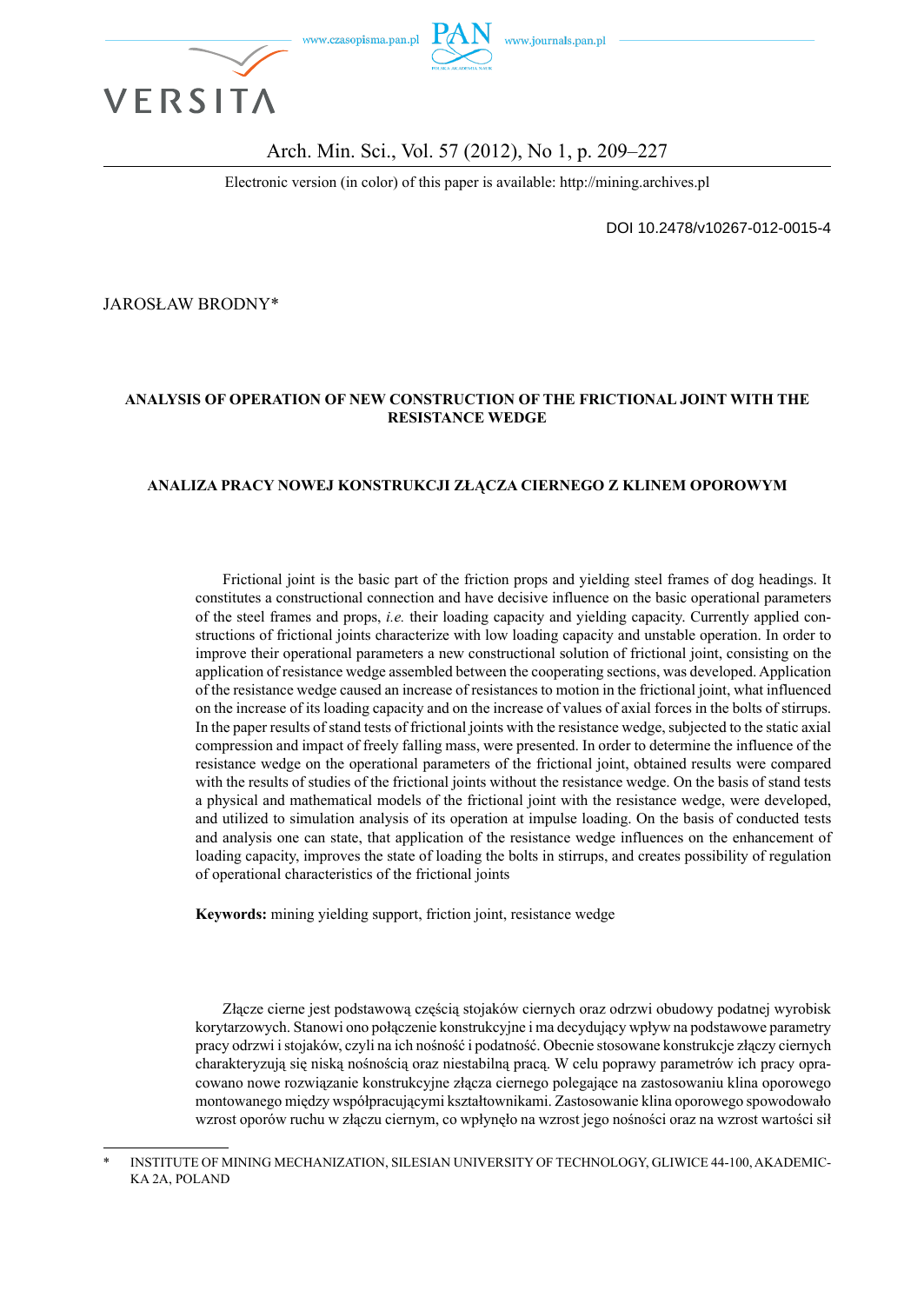

#### Arch. Min. Sci., Vol. 57 (2012), No 1, p. 209–227

Electronic version (in color) of this paper is available: http://mining.archives.pl

DOI 10.2478/v10267-012-0015-4

JAROSŁAW BRODNY\*

#### **ANALYSIS OF OPERATION OF NEW CONSTRUCTION OF THE FRICTIONAL JOINT WITH THE RESISTANCE WEDGE**

#### **ANALIZA PRACY NOWEJ KONSTRUKCJI ZŁĄCZA CIERNEGO Z KLINEM OPOROWYM**

Frictional joint is the basic part of the friction props and yielding steel frames of dog headings. It constitutes a constructional connection and have decisive influence on the basic operational parameters of the steel frames and props, *i.e.* their loading capacity and yielding capacity. Currently applied constructions of frictional joints characterize with low loading capacity and unstable operation. In order to improve their operational parameters a new constructional solution of frictional joint, consisting on the application of resistance wedge assembled between the cooperating sections, was developed. Application of the resistance wedge caused an increase of resistances to motion in the frictional joint, what influenced on the increase of its loading capacity and on the increase of values of axial forces in the bolts of stirrups. In the paper results of stand tests of frictional joints with the resistance wedge, subjected to the static axial compression and impact of freely falling mass, were presented. In order to determine the influence of the resistance wedge on the operational parameters of the frictional joint, obtained results were compared with the results of studies of the frictional joints without the resistance wedge. On the basis of stand tests a physical and mathematical models of the frictional joint with the resistance wedge, were developed, and utilized to simulation analysis of its operation at impulse loading. On the basis of conducted tests and analysis one can state, that application of the resistance wedge influences on the enhancement of loading capacity, improves the state of loading the bolts in stirrups, and creates possibility of regulation of operational characteristics of the frictional joints

**Keywords:** mining yielding support, friction joint, resistance wedge

Złącze cierne jest podstawową częścią stojaków ciernych oraz odrzwi obudowy podatnej wyrobisk korytarzowych. Stanowi ono połączenie konstrukcyjne i ma decydujący wpływ na podstawowe parametry pracy odrzwi i stojaków, czyli na ich nośność i podatność. Obecnie stosowane konstrukcje złączy ciernych charakteryzują się niską nośnością oraz niestabilną pracą. W celu poprawy parametrów ich pracy opracowano nowe rozwiązanie konstrukcyjne złącza ciernego polegające na zastosowaniu klina oporowego montowanego między współpracującymi kształtownikami. Zastosowanie klina oporowego spowodowało wzrost oporów ruchu w złączu ciernym, co wpłynęło na wzrost jego nośności oraz na wzrost wartości sił

INSTITUTE OF MINING MECHANIZATION, SILESIAN UNIVERSITY OF TECHNOLOGY, GLIWICE 44-100, AKADEMIC-KA 2A, POLAND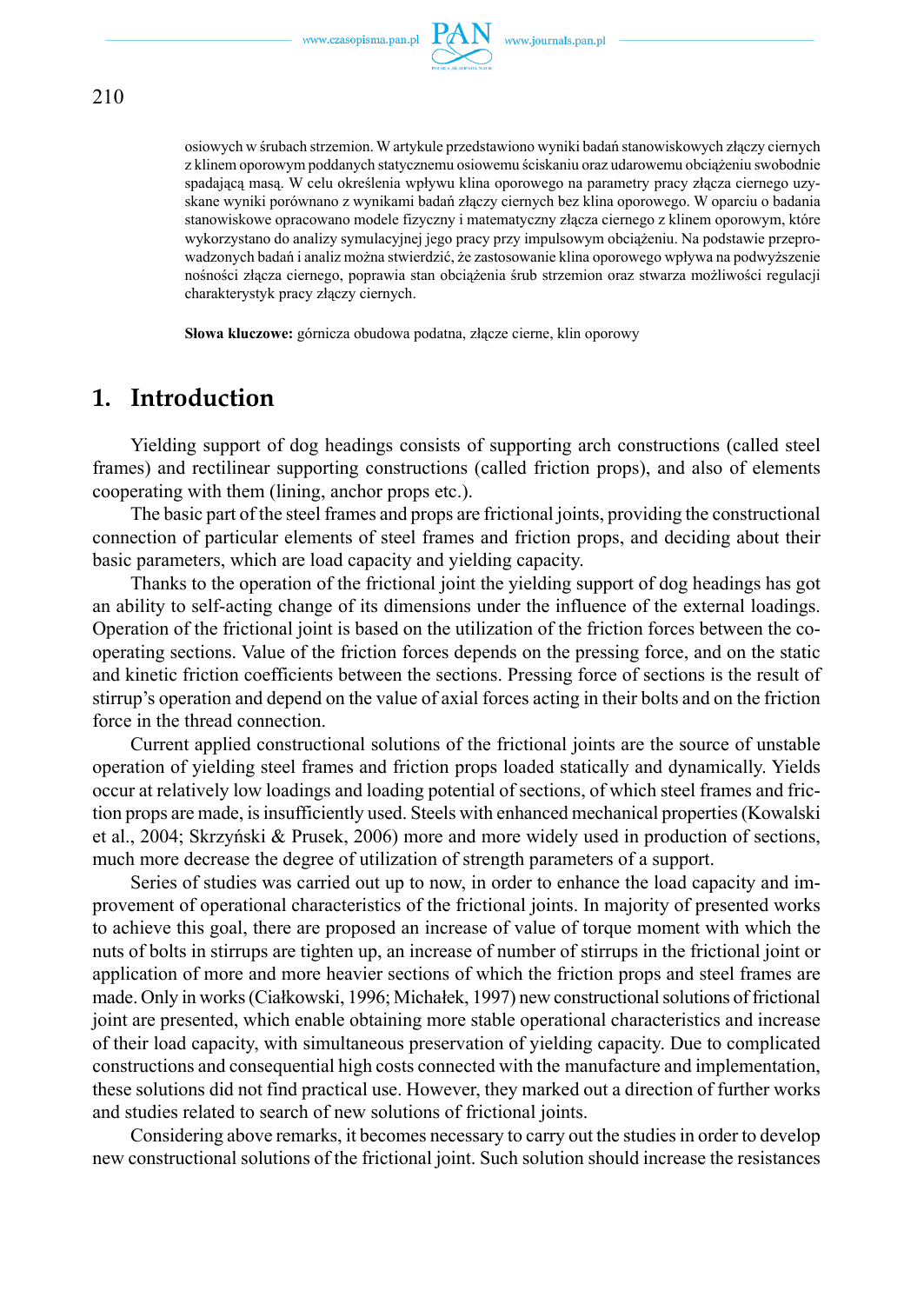

osiowych w śrubach strzemion. W artykule przedstawiono wyniki badań stanowiskowych złączy ciernych z klinem oporowym poddanych statycznemu osiowemu ściskaniu oraz udarowemu obciążeniu swobodnie spadającą masą. W celu określenia wpływu klina oporowego na parametry pracy złącza ciernego uzy-

skane wyniki porównano z wynikami badań złączy ciernych bez klina oporowego. W oparciu o badania stanowiskowe opracowano modele fizyczny i matematyczny złącza ciernego z klinem oporowym, które wykorzystano do analizy symulacyjnej jego pracy przy impulsowym obciążeniu. Na podstawie przeprowadzonych badań i analiz można stwierdzić, że zastosowanie klina oporowego wpływa na podwyższenie nośności złącza ciernego, poprawia stan obciążenia śrub strzemion oraz stwarza możliwości regulacji charakterystyk pracy złączy ciernych.

**Słowa kluczowe:** górnicza obudowa podatna, złącze cierne, klin oporowy

### **1. Introduction**

Yielding support of dog headings consists of supporting arch constructions (called steel frames) and rectilinear supporting constructions (called friction props), and also of elements cooperating with them (lining, anchor props etc.).

The basic part of the steel frames and props are frictional joints, providing the constructional connection of particular elements of steel frames and friction props, and deciding about their basic parameters, which are load capacity and yielding capacity.

Thanks to the operation of the frictional joint the yielding support of dog headings has got an ability to self-acting change of its dimensions under the influence of the external loadings. Operation of the frictional joint is based on the utilization of the friction forces between the cooperating sections. Value of the friction forces depends on the pressing force, and on the static and kinetic friction coefficients between the sections. Pressing force of sections is the result of stirrup's operation and depend on the value of axial forces acting in their bolts and on the friction force in the thread connection.

Current applied constructional solutions of the frictional joints are the source of unstable operation of yielding steel frames and friction props loaded statically and dynamically. Yields occur at relatively low loadings and loading potential of sections, of which steel frames and friction props are made, is insufficiently used. Steels with enhanced mechanical properties (Kowalski et al., 2004; Skrzyński & Prusek, 2006) more and more widely used in production of sections, much more decrease the degree of utilization of strength parameters of a support.

Series of studies was carried out up to now, in order to enhance the load capacity and improvement of operational characteristics of the frictional joints. In majority of presented works to achieve this goal, there are proposed an increase of value of torque moment with which the nuts of bolts in stirrups are tighten up, an increase of number of stirrups in the frictional joint or application of more and more heavier sections of which the friction props and steel frames are made. Only in works (Ciałkowski, 1996; Michałek, 1997) new constructional solutions of frictional joint are presented, which enable obtaining more stable operational characteristics and increase of their load capacity, with simultaneous preservation of yielding capacity. Due to complicated constructions and consequential high costs connected with the manufacture and implementation, these solutions did not find practical use. However, they marked out a direction of further works and studies related to search of new solutions of frictional joints.

Considering above remarks, it becomes necessary to carry out the studies in order to develop new constructional solutions of the frictional joint. Such solution should increase the resistances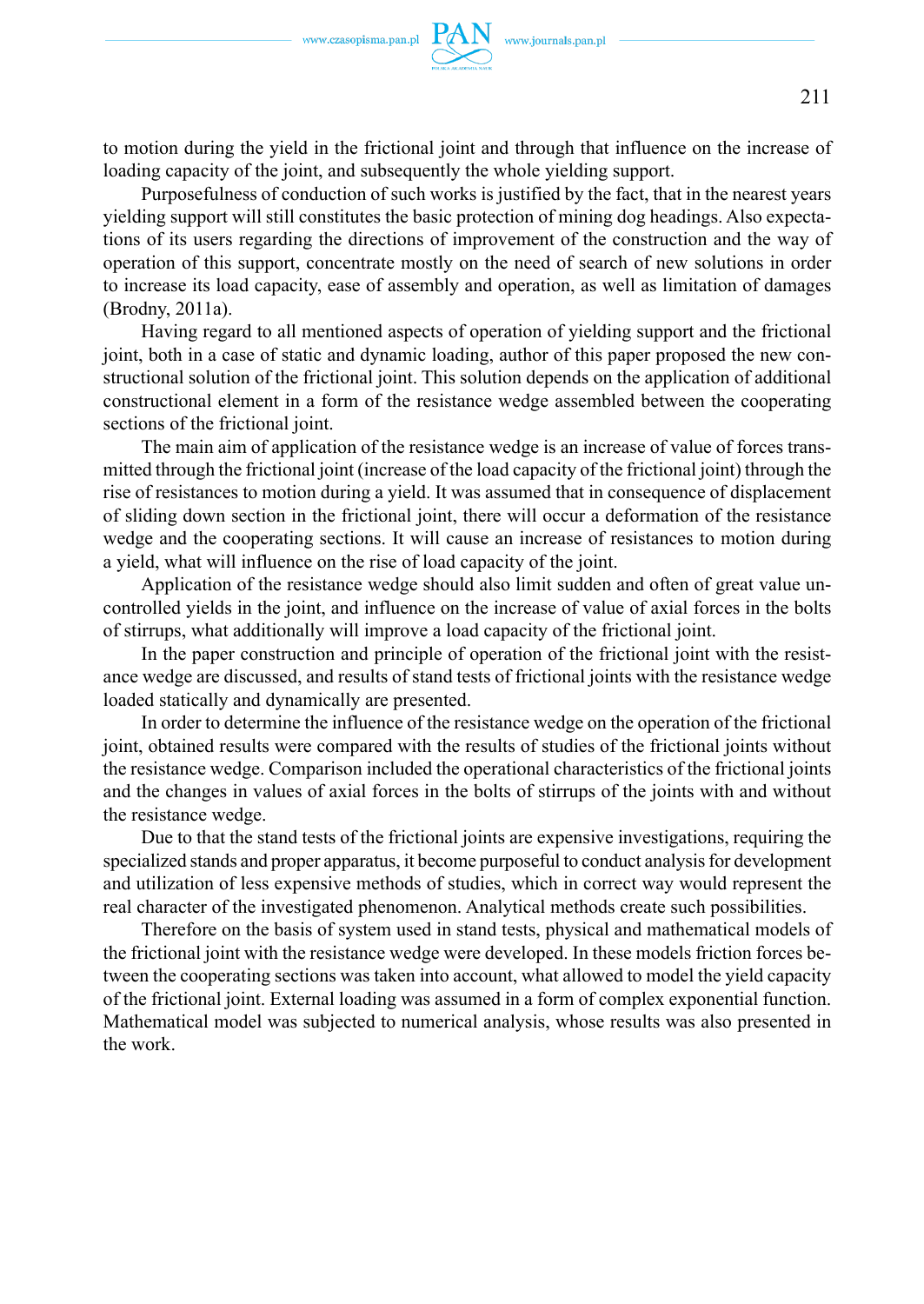to motion during the yield in the frictional joint and through that influence on the increase of loading capacity of the joint, and subsequently the whole yielding support.

Purposefulness of conduction of such works is justified by the fact, that in the nearest years yielding support will still constitutes the basic protection of mining dog headings. Also expectations of its users regarding the directions of improvement of the construction and the way of operation of this support, concentrate mostly on the need of search of new solutions in order to increase its load capacity, ease of assembly and operation, as well as limitation of damages (Brodny, 2011a).

Having regard to all mentioned aspects of operation of yielding support and the frictional joint, both in a case of static and dynamic loading, author of this paper proposed the new constructional solution of the frictional joint. This solution depends on the application of additional constructional element in a form of the resistance wedge assembled between the cooperating sections of the frictional joint.

The main aim of application of the resistance wedge is an increase of value of forces transmitted through the frictional joint (increase of the load capacity of the frictional joint) through the rise of resistances to motion during a yield. It was assumed that in consequence of displacement of sliding down section in the frictional joint, there will occur a deformation of the resistance wedge and the cooperating sections. It will cause an increase of resistances to motion during a yield, what will influence on the rise of load capacity of the joint.

Application of the resistance wedge should also limit sudden and often of great value uncontrolled yields in the joint, and influence on the increase of value of axial forces in the bolts of stirrups, what additionally will improve a load capacity of the frictional joint.

In the paper construction and principle of operation of the frictional joint with the resistance wedge are discussed, and results of stand tests of frictional joints with the resistance wedge loaded statically and dynamically are presented.

In order to determine the influence of the resistance wedge on the operation of the frictional joint, obtained results were compared with the results of studies of the frictional joints without the resistance wedge. Comparison included the operational characteristics of the frictional joints and the changes in values of axial forces in the bolts of stirrups of the joints with and without the resistance wedge.

Due to that the stand tests of the frictional joints are expensive investigations, requiring the specialized stands and proper apparatus, it become purposeful to conduct analysis for development and utilization of less expensive methods of studies, which in correct way would represent the real character of the investigated phenomenon. Analytical methods create such possibilities.

Therefore on the basis of system used in stand tests, physical and mathematical models of the frictional joint with the resistance wedge were developed. In these models friction forces between the cooperating sections was taken into account, what allowed to model the yield capacity of the frictional joint. External loading was assumed in a form of complex exponential function. Mathematical model was subjected to numerical analysis, whose results was also presented in the work.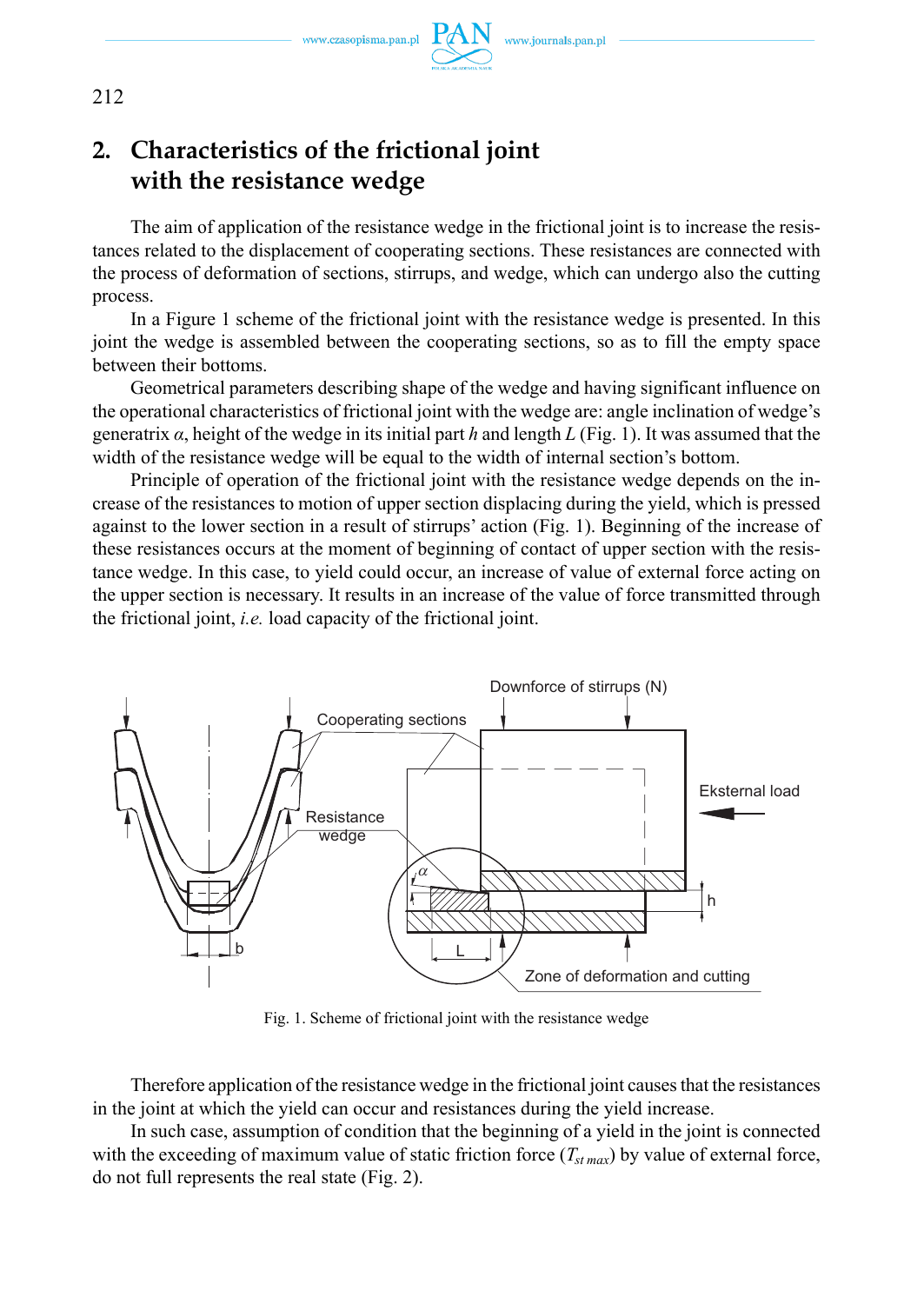www.czasopisma.pan.pl



## **2. Characteristics of the frictional joint with the resistance wedge**

The aim of application of the resistance wedge in the frictional joint is to increase the resistances related to the displacement of cooperating sections. These resistances are connected with the process of deformation of sections, stirrups, and wedge, which can undergo also the cutting process.

In a Figure 1 scheme of the frictional joint with the resistance wedge is presented. In this joint the wedge is assembled between the cooperating sections, so as to fill the empty space between their bottoms.

Geometrical parameters describing shape of the wedge and having significant influence on the operational characteristics of frictional joint with the wedge are: angle inclination of wedge's generatrix *α*, height of the wedge in its initial part *h* and length *L* (Fig. 1). It was assumed that the width of the resistance wedge will be equal to the width of internal section's bottom.

Principle of operation of the frictional joint with the resistance wedge depends on the increase of the resistances to motion of upper section displacing during the yield, which is pressed against to the lower section in a result of stirrups' action (Fig. 1). Beginning of the increase of these resistances occurs at the moment of beginning of contact of upper section with the resistance wedge. In this case, to yield could occur, an increase of value of external force acting on the upper section is necessary. It results in an increase of the value of force transmitted through the frictional joint, *i.e.* load capacity of the frictional joint.



Fig. 1. Scheme of frictional joint with the resistance wedge

Therefore application of the resistance wedge in the frictional joint causes that the resistances in the joint at which the yield can occur and resistances during the yield increase.

In such case, assumption of condition that the beginning of a yield in the joint is connected with the exceeding of maximum value of static friction force  $(T_{st max})$  by value of external force, do not full represents the real state (Fig. 2).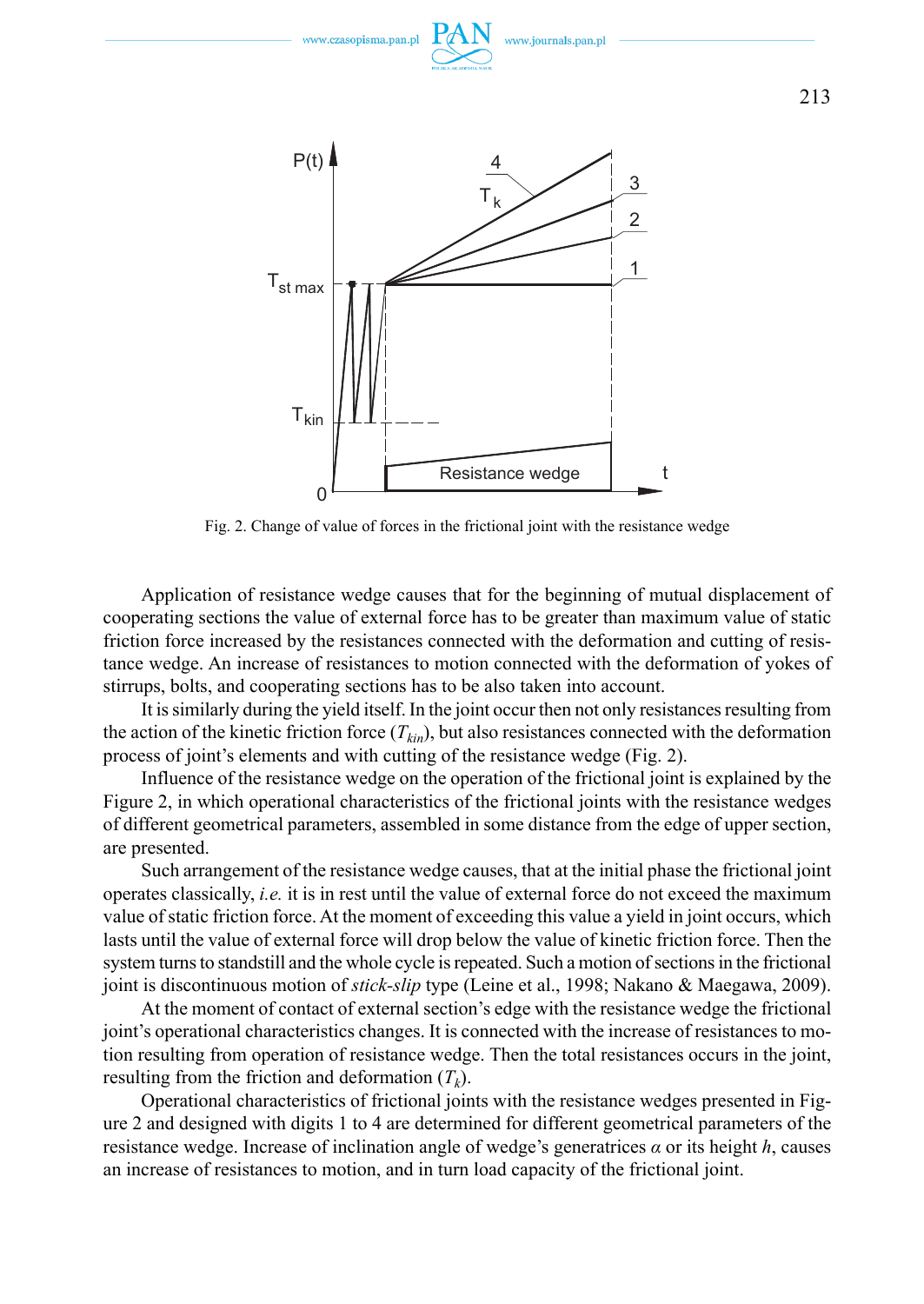

Fig. 2. Change of value of forces in the frictional joint with the resistance wedge

Application of resistance wedge causes that for the beginning of mutual displacement of cooperating sections the value of external force has to be greater than maximum value of static friction force increased by the resistances connected with the deformation and cutting of resistance wedge. An increase of resistances to motion connected with the deformation of yokes of stirrups, bolts, and cooperating sections has to be also taken into account.

It is similarly during the yield itself. In the joint occur then not only resistances resulting from the action of the kinetic friction force  $(T_{kin})$ , but also resistances connected with the deformation process of joint's elements and with cutting of the resistance wedge (Fig. 2).

Influence of the resistance wedge on the operation of the frictional joint is explained by the Figure 2, in which operational characteristics of the frictional joints with the resistance wedges of different geometrical parameters, assembled in some distance from the edge of upper section, are presented.

Such arrangement of the resistance wedge causes, that at the initial phase the frictional joint operates classically, *i.e.* it is in rest until the value of external force do not exceed the maximum value of static friction force. At the moment of exceeding this value a yield in joint occurs, which lasts until the value of external force will drop below the value of kinetic friction force. Then the system turns to standstill and the whole cycle is repeated. Such a motion of sections in the frictional joint is discontinuous motion of *stick-slip* type (Leine et al., 1998; Nakano & Maegawa, 2009).

At the moment of contact of external section's edge with the resistance wedge the frictional joint's operational characteristics changes. It is connected with the increase of resistances to motion resulting from operation of resistance wedge. Then the total resistances occurs in the joint, resulting from the friction and deformation  $(T_k)$ .

Operational characteristics of frictional joints with the resistance wedges presented in Figure 2 and designed with digits 1 to 4 are determined for different geometrical parameters of the resistance wedge. Increase of inclination angle of wedge's generatrices *α* or its height *h*, causes an increase of resistances to motion, and in turn load capacity of the frictional joint.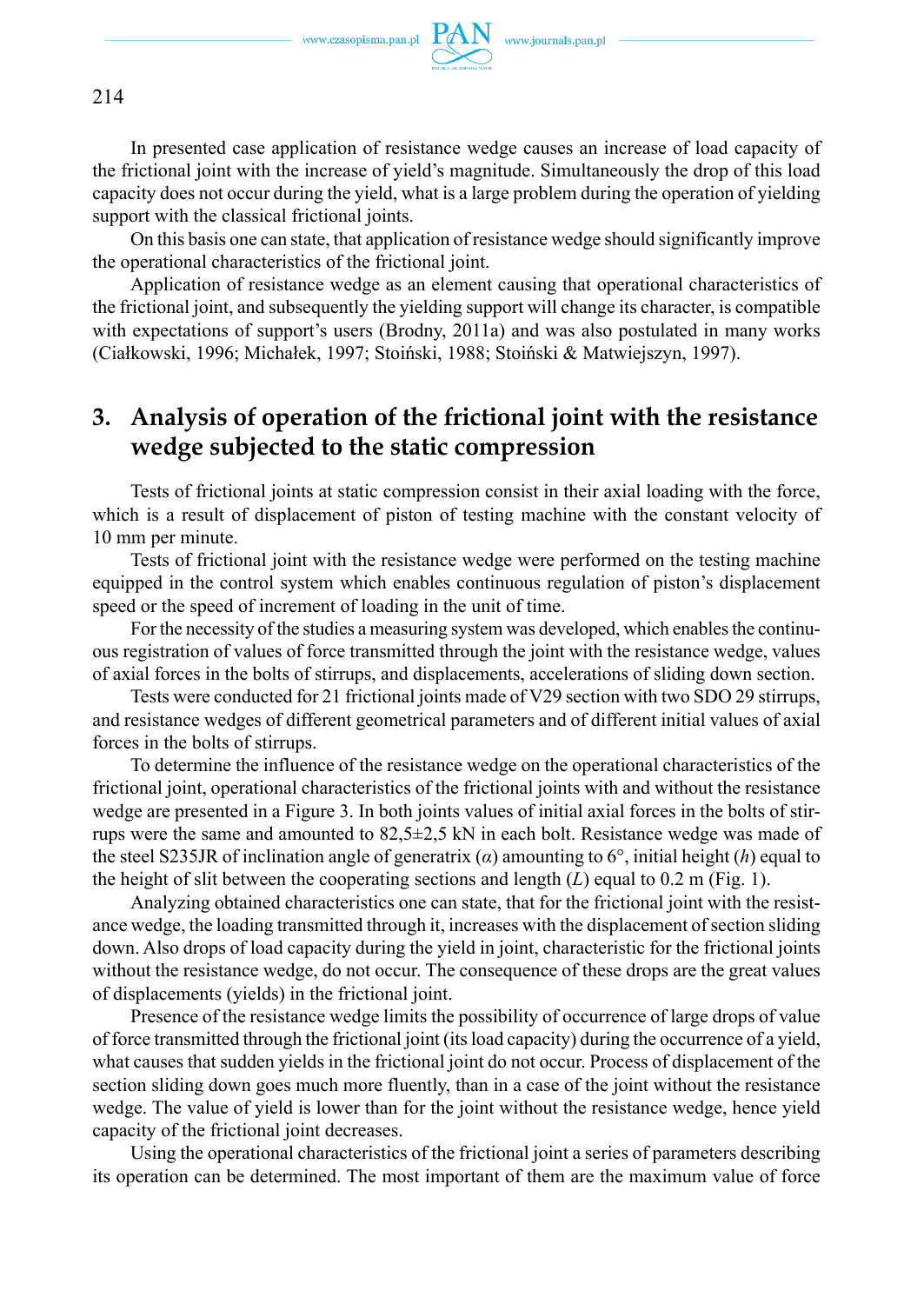

214

In presented case application of resistance wedge causes an increase of load capacity of the frictional joint with the increase of yield's magnitude. Simultaneously the drop of this load capacity does not occur during the yield, what is a large problem during the operation of yielding support with the classical frictional joints.

On this basis one can state, that application of resistance wedge should significantly improve the operational characteristics of the frictional joint.

Application of resistance wedge as an element causing that operational characteristics of the frictional joint, and subsequently the yielding support will change its character, is compatible with expectations of support's users (Brodny, 2011a) and was also postulated in many works (Ciałkowski, 1996; Michałek, 1997; Stoiński, 1988; Stoiński & Matwiejszyn, 1997).

## **3. Analysis of operation of the frictional joint with the resistance wedge subjected to the static compression**

Tests of frictional joints at static compression consist in their axial loading with the force, which is a result of displacement of piston of testing machine with the constant velocity of 10 mm per minute.

Tests of frictional joint with the resistance wedge were performed on the testing machine equipped in the control system which enables continuous regulation of piston's displacement speed or the speed of increment of loading in the unit of time.

For the necessity of the studies a measuring system was developed, which enables the continuous registration of values of force transmitted through the joint with the resistance wedge, values of axial forces in the bolts of stirrups, and displacements, accelerations of sliding down section.

Tests were conducted for 21 frictional joints made of V29 section with two SDO 29 stirrups, and resistance wedges of different geometrical parameters and of different initial values of axial forces in the bolts of stirrups.

To determine the influence of the resistance wedge on the operational characteristics of the frictional joint, operational characteristics of the frictional joints with and without the resistance wedge are presented in a Figure 3. In both joints values of initial axial forces in the bolts of stirrups were the same and amounted to 82,5±2,5 kN in each bolt. Resistance wedge was made of the steel S235JR of inclination angle of generatrix (*α*) amounting to 6°, initial height (*h*) equal to the height of slit between the cooperating sections and length  $(L)$  equal to 0.2 m (Fig. 1).

Analyzing obtained characteristics one can state, that for the frictional joint with the resistance wedge, the loading transmitted through it, increases with the displacement of section sliding down. Also drops of load capacity during the yield in joint, characteristic for the frictional joints without the resistance wedge, do not occur. The consequence of these drops are the great values of displacements (yields) in the frictional joint.

Presence of the resistance wedge limits the possibility of occurrence of large drops of value of force transmitted through the frictional joint (its load capacity) during the occurrence of a yield, what causes that sudden yields in the frictional joint do not occur. Process of displacement of the section sliding down goes much more fluently, than in a case of the joint without the resistance wedge. The value of yield is lower than for the joint without the resistance wedge, hence yield capacity of the frictional joint decreases.

Using the operational characteristics of the frictional joint a series of parameters describing its operation can be determined. The most important of them are the maximum value of force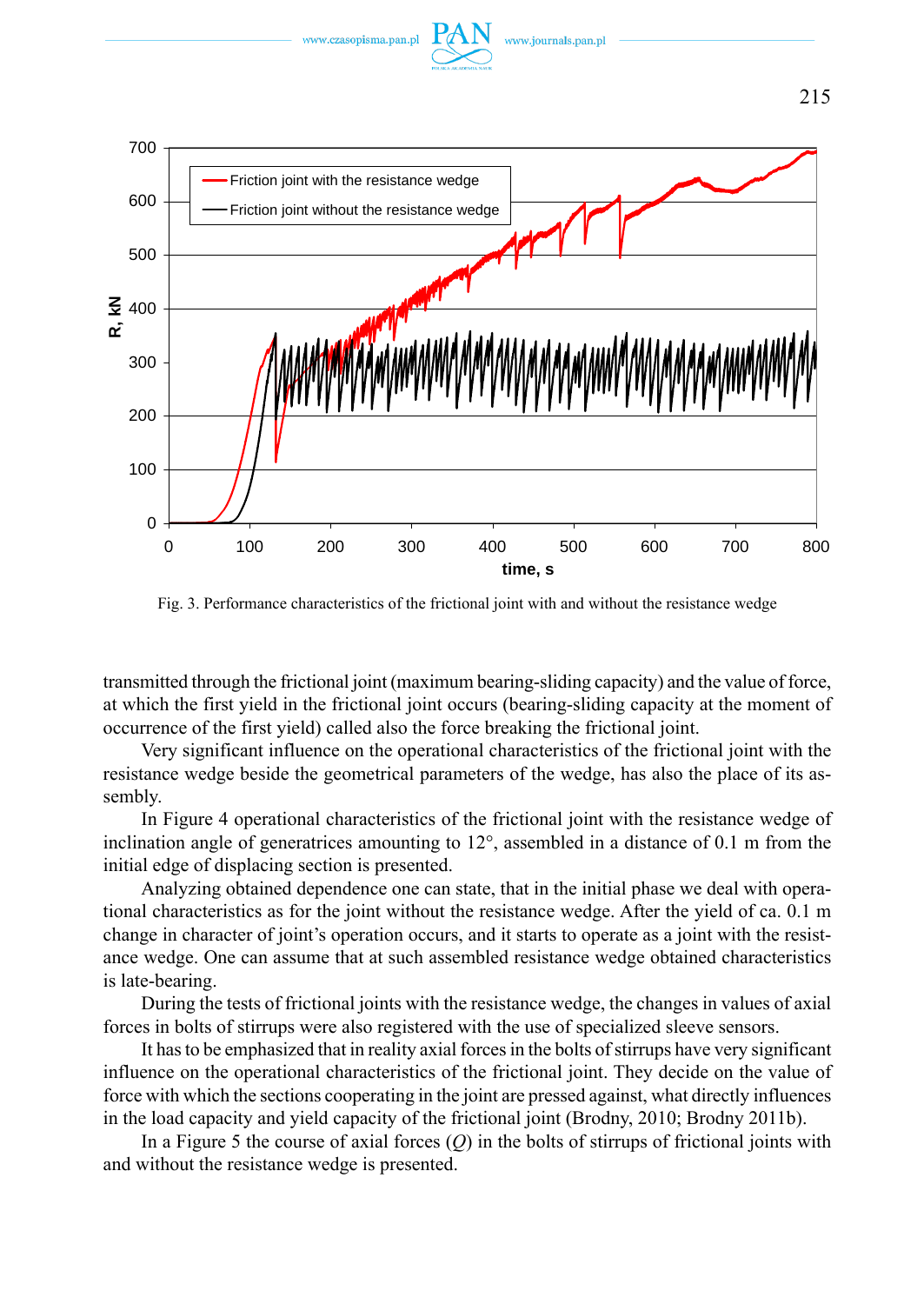



Fig. 3. Performance characteristics of the frictional joint with and without the resistance wedge

transmitted through the frictional joint (maximum bearing-sliding capacity) and the value of force, at which the first yield in the frictional joint occurs (bearing-sliding capacity at the moment of occurrence of the first yield) called also the force breaking the frictional joint.

Very significant influence on the operational characteristics of the frictional joint with the resistance wedge beside the geometrical parameters of the wedge, has also the place of its assembly.

In Figure 4 operational characteristics of the frictional joint with the resistance wedge of inclination angle of generatrices amounting to 12°, assembled in a distance of 0.1 m from the initial edge of displacing section is presented.

Analyzing obtained dependence one can state, that in the initial phase we deal with operational characteristics as for the joint without the resistance wedge. After the yield of ca. 0.1 m change in character of joint's operation occurs, and it starts to operate as a joint with the resistance wedge. One can assume that at such assembled resistance wedge obtained characteristics is late-bearing.

During the tests of frictional joints with the resistance wedge, the changes in values of axial forces in bolts of stirrups were also registered with the use of specialized sleeve sensors.

It has to be emphasized that in reality axial forces in the bolts of stirrups have very significant influence on the operational characteristics of the frictional joint. They decide on the value of force with which the sections cooperating in the joint are pressed against, what directly influences in the load capacity and yield capacity of the frictional joint (Brodny, 2010; Brodny 2011b).

In a Figure 5 the course of axial forces (*Q*) in the bolts of stirrups of frictional joints with and without the resistance wedge is presented.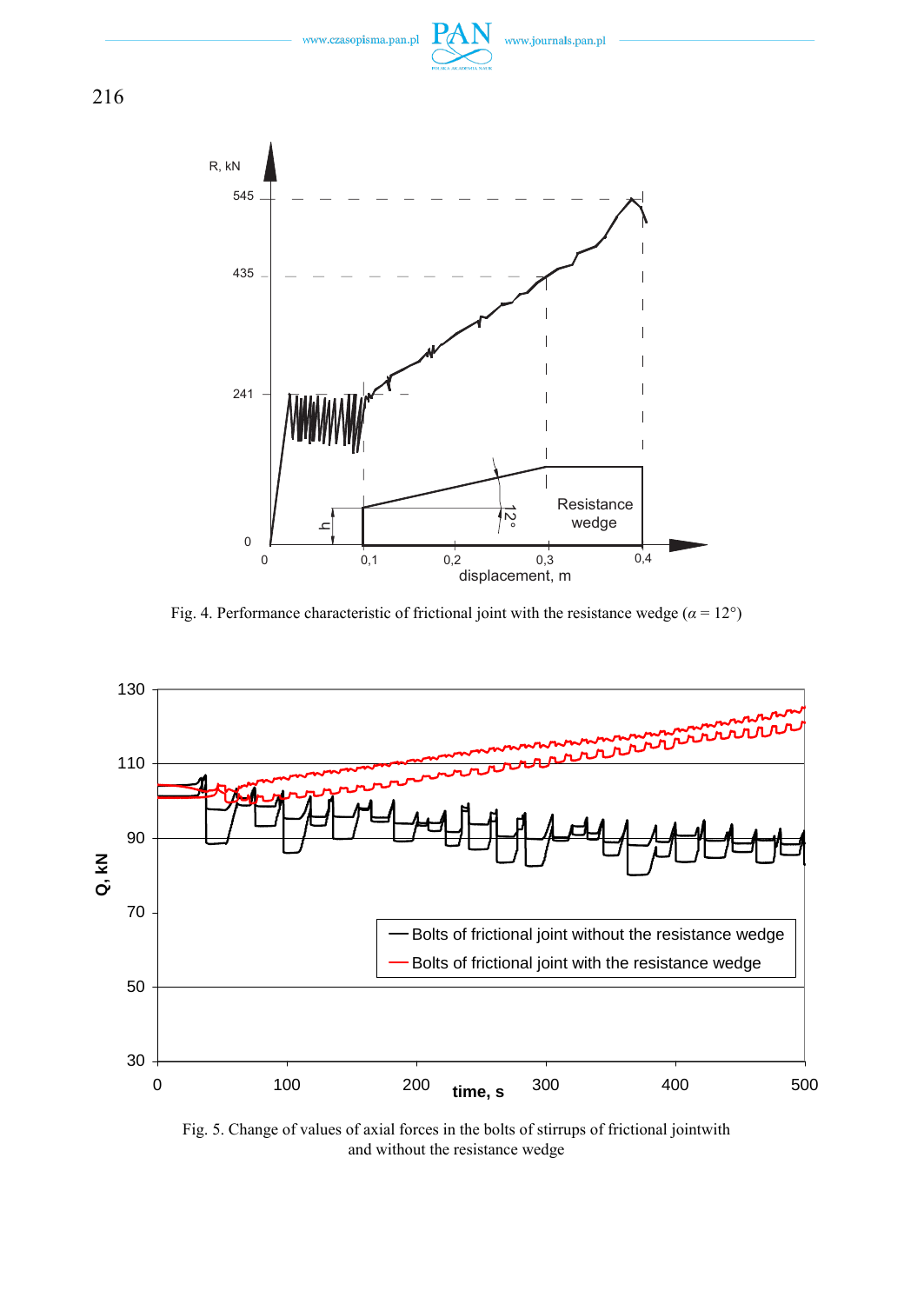

Fig. 4. Performance characteristic of frictional joint with the resistance wedge ( $\alpha = 12^{\circ}$ )



Fig. 5. Change of values of axial forces in the bolts of stirrups of frictional jointwith and without the resistance wedge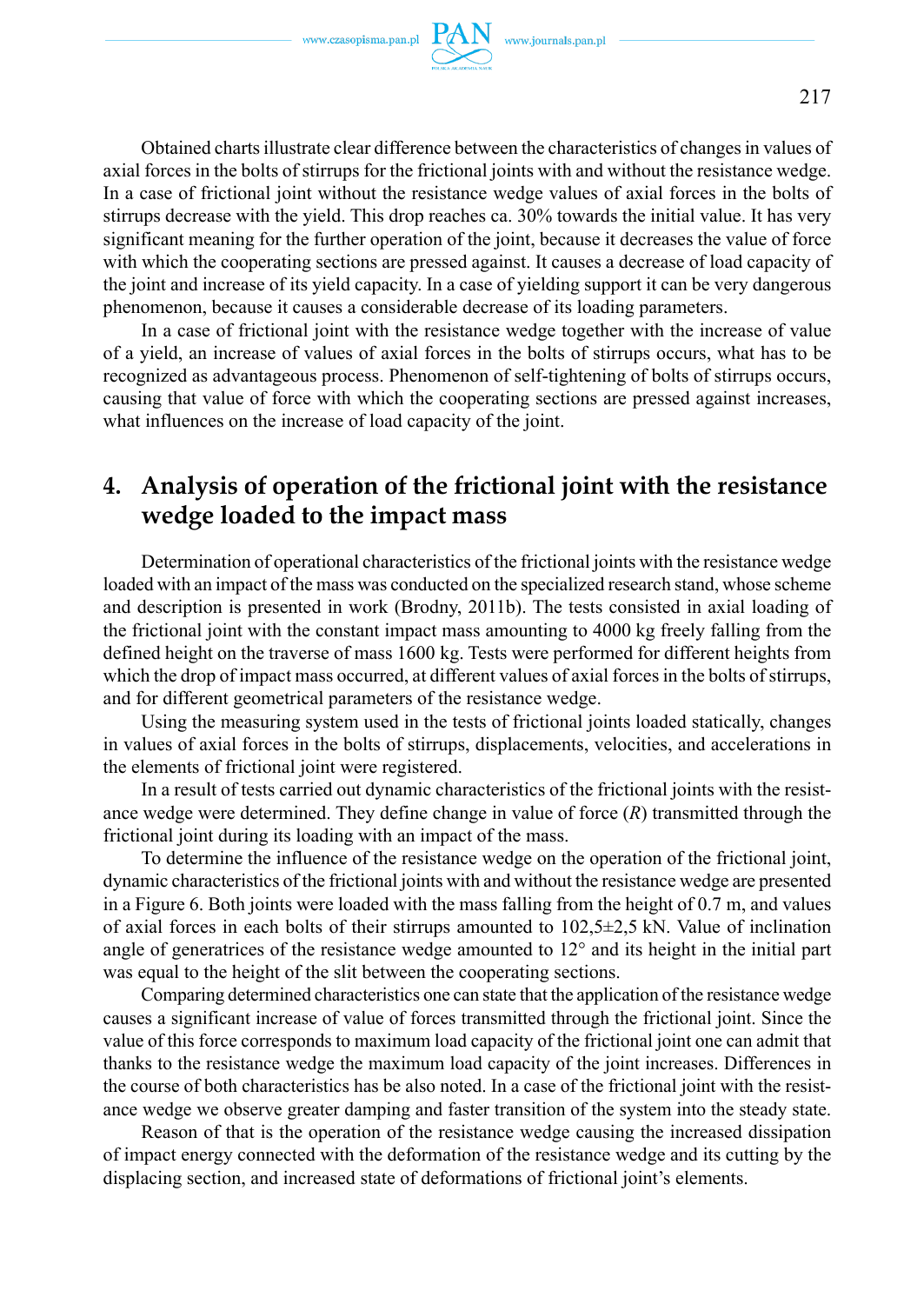Obtained charts illustrate clear difference between the characteristics of changes in values of axial forces in the bolts of stirrups for the frictional joints with and without the resistance wedge. In a case of frictional joint without the resistance wedge values of axial forces in the bolts of stirrups decrease with the yield. This drop reaches ca. 30% towards the initial value. It has very significant meaning for the further operation of the joint, because it decreases the value of force with which the cooperating sections are pressed against. It causes a decrease of load capacity of the joint and increase of its yield capacity. In a case of yielding support it can be very dangerous phenomenon, because it causes a considerable decrease of its loading parameters.

In a case of frictional joint with the resistance wedge together with the increase of value of a yield, an increase of values of axial forces in the bolts of stirrups occurs, what has to be recognized as advantageous process. Phenomenon of self-tightening of bolts of stirrups occurs, causing that value of force with which the cooperating sections are pressed against increases, what influences on the increase of load capacity of the joint.

## **4. Analysis of operation of the frictional joint with the resistance wedge loaded to the impact mass**

Determination of operational characteristics of the frictional joints with the resistance wedge loaded with an impact of the mass was conducted on the specialized research stand, whose scheme and description is presented in work (Brodny, 2011b). The tests consisted in axial loading of the frictional joint with the constant impact mass amounting to 4000 kg freely falling from the defined height on the traverse of mass 1600 kg. Tests were performed for different heights from which the drop of impact mass occurred, at different values of axial forces in the bolts of stirrups, and for different geometrical parameters of the resistance wedge.

Using the measuring system used in the tests of frictional joints loaded statically, changes in values of axial forces in the bolts of stirrups, displacements, velocities, and accelerations in the elements of frictional joint were registered.

In a result of tests carried out dynamic characteristics of the frictional joints with the resistance wedge were determined. They define change in value of force (*R*) transmitted through the frictional joint during its loading with an impact of the mass.

To determine the influence of the resistance wedge on the operation of the frictional joint, dynamic characteristics of the frictional joints with and without the resistance wedge are presented in a Figure 6. Both joints were loaded with the mass falling from the height of 0.7 m, and values of axial forces in each bolts of their stirrups amounted to  $102,5\pm 2,5$  kN. Value of inclination angle of generatrices of the resistance wedge amounted to 12° and its height in the initial part was equal to the height of the slit between the cooperating sections.

Comparing determined characteristics one can state that the application of the resistance wedge causes a significant increase of value of forces transmitted through the frictional joint. Since the value of this force corresponds to maximum load capacity of the frictional joint one can admit that thanks to the resistance wedge the maximum load capacity of the joint increases. Differences in the course of both characteristics has be also noted. In a case of the frictional joint with the resistance wedge we observe greater damping and faster transition of the system into the steady state.

Reason of that is the operation of the resistance wedge causing the increased dissipation of impact energy connected with the deformation of the resistance wedge and its cutting by the displacing section, and increased state of deformations of frictional joint's elements.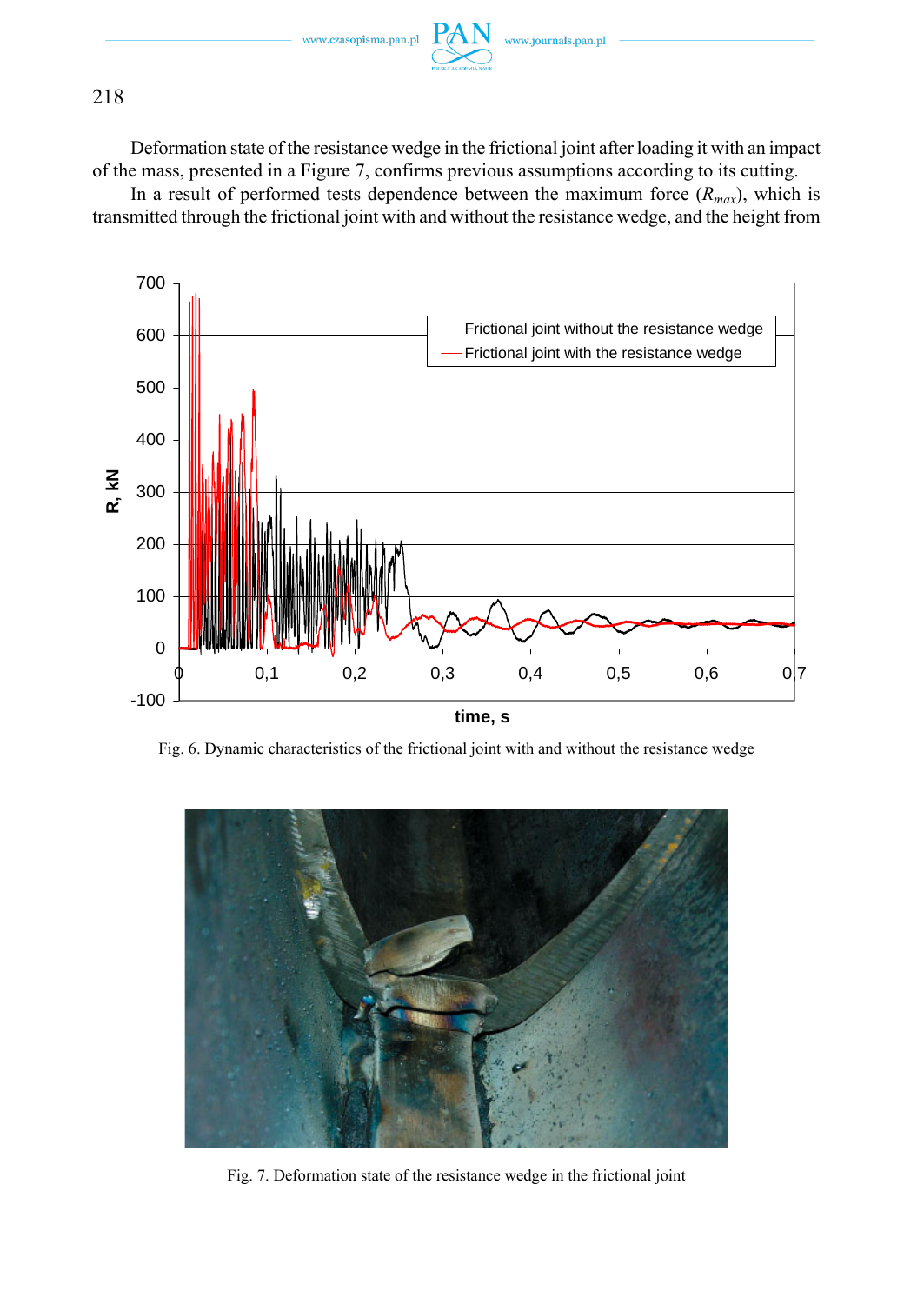

#### 218

Deformation state of the resistance wedge in the frictional joint after loading it with an impact of the mass, presented in a Figure 7, confirms previous assumptions according to its cutting.

In a result of performed tests dependence between the maximum force  $(R_{max})$ , which is transmitted through the frictional joint with and without the resistance wedge, and the height from



Fig. 6. Dynamic characteristics of the frictional joint with and without the resistance wedge



Fig. 7. Deformation state of the resistance wedge in the frictional joint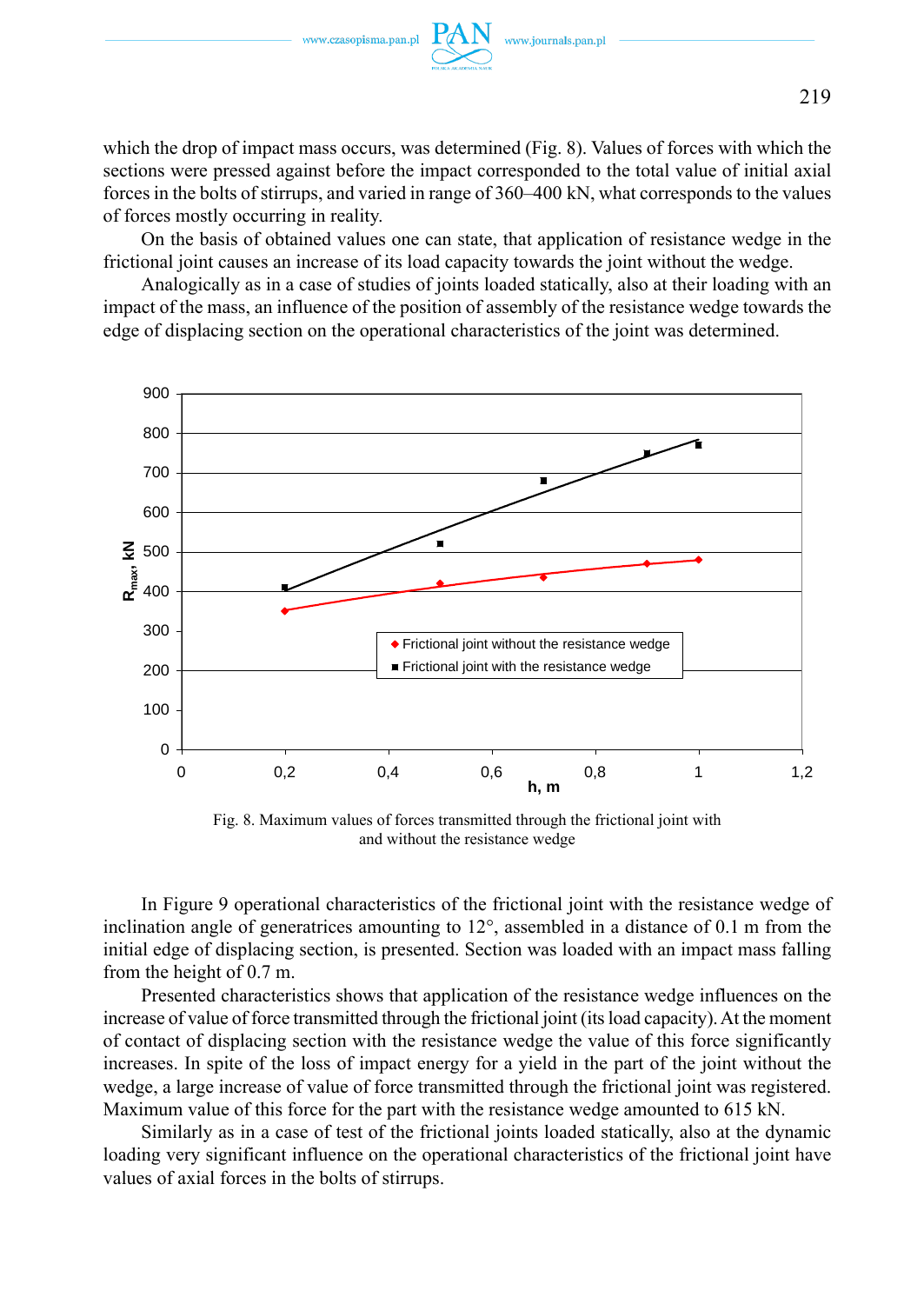of forces mostly occurring in reality.



On the basis of obtained values one can state, that application of resistance wedge in the frictional joint causes an increase of its load capacity towards the joint without the wedge.

Analogically as in a case of studies of joints loaded statically, also at their loading with an impact of the mass, an influence of the position of assembly of the resistance wedge towards the edge of displacing section on the operational characteristics of the joint was determined.



Fig. 8. Maximum values of forces transmitted through the frictional joint with and without the resistance wedge

In Figure 9 operational characteristics of the frictional joint with the resistance wedge of inclination angle of generatrices amounting to 12°, assembled in a distance of 0.1 m from the initial edge of displacing section, is presented. Section was loaded with an impact mass falling from the height of 0.7 m.

Presented characteristics shows that application of the resistance wedge influences on the increase of value of force transmitted through the frictional joint (its load capacity). At the moment of contact of displacing section with the resistance wedge the value of this force significantly increases. In spite of the loss of impact energy for a yield in the part of the joint without the wedge, a large increase of value of force transmitted through the frictional joint was registered. Maximum value of this force for the part with the resistance wedge amounted to 615 kN.

Similarly as in a case of test of the frictional joints loaded statically, also at the dynamic loading very significant influence on the operational characteristics of the frictional joint have values of axial forces in the bolts of stirrups.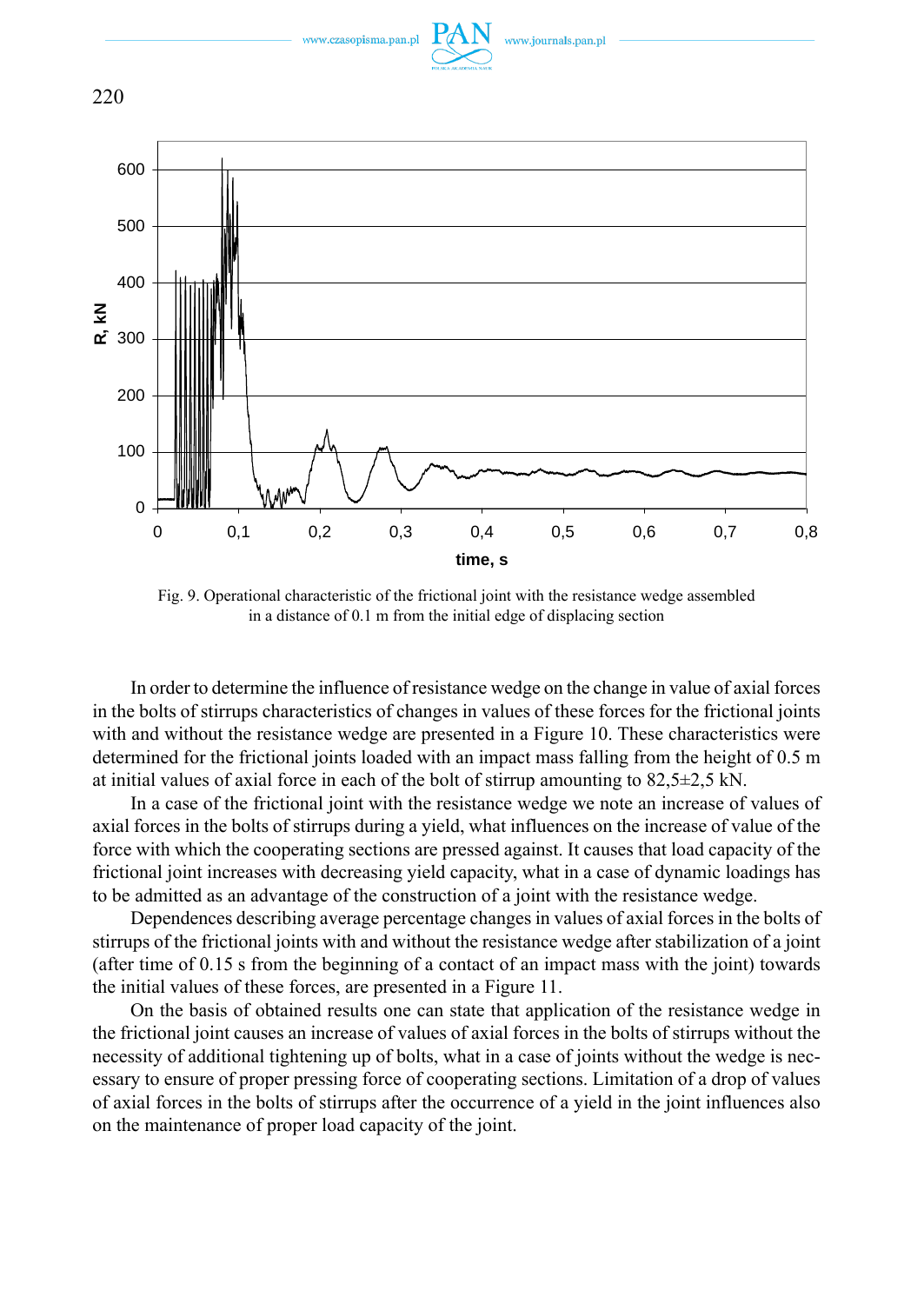

Fig. 9. Operational characteristic of the frictional joint with the resistance wedge assembled in a distance of 0.1 m from the initial edge of displacing section

In order to determine the influence of resistance wedge on the change in value of axial forces in the bolts of stirrups characteristics of changes in values of these forces for the frictional joints with and without the resistance wedge are presented in a Figure 10. These characteristics were determined for the frictional joints loaded with an impact mass falling from the height of 0.5 m at initial values of axial force in each of the bolt of stirrup amounting to 82,5±2,5 kN.

In a case of the frictional joint with the resistance wedge we note an increase of values of axial forces in the bolts of stirrups during a yield, what influences on the increase of value of the force with which the cooperating sections are pressed against. It causes that load capacity of the frictional joint increases with decreasing yield capacity, what in a case of dynamic loadings has to be admitted as an advantage of the construction of a joint with the resistance wedge.

Dependences describing average percentage changes in values of axial forces in the bolts of stirrups of the frictional joints with and without the resistance wedge after stabilization of a joint (after time of 0.15 s from the beginning of a contact of an impact mass with the joint) towards the initial values of these forces, are presented in a Figure 11.

On the basis of obtained results one can state that application of the resistance wedge in the frictional joint causes an increase of values of axial forces in the bolts of stirrups without the necessity of additional tightening up of bolts, what in a case of joints without the wedge is necessary to ensure of proper pressing force of cooperating sections. Limitation of a drop of values of axial forces in the bolts of stirrups after the occurrence of a yield in the joint influences also on the maintenance of proper load capacity of the joint.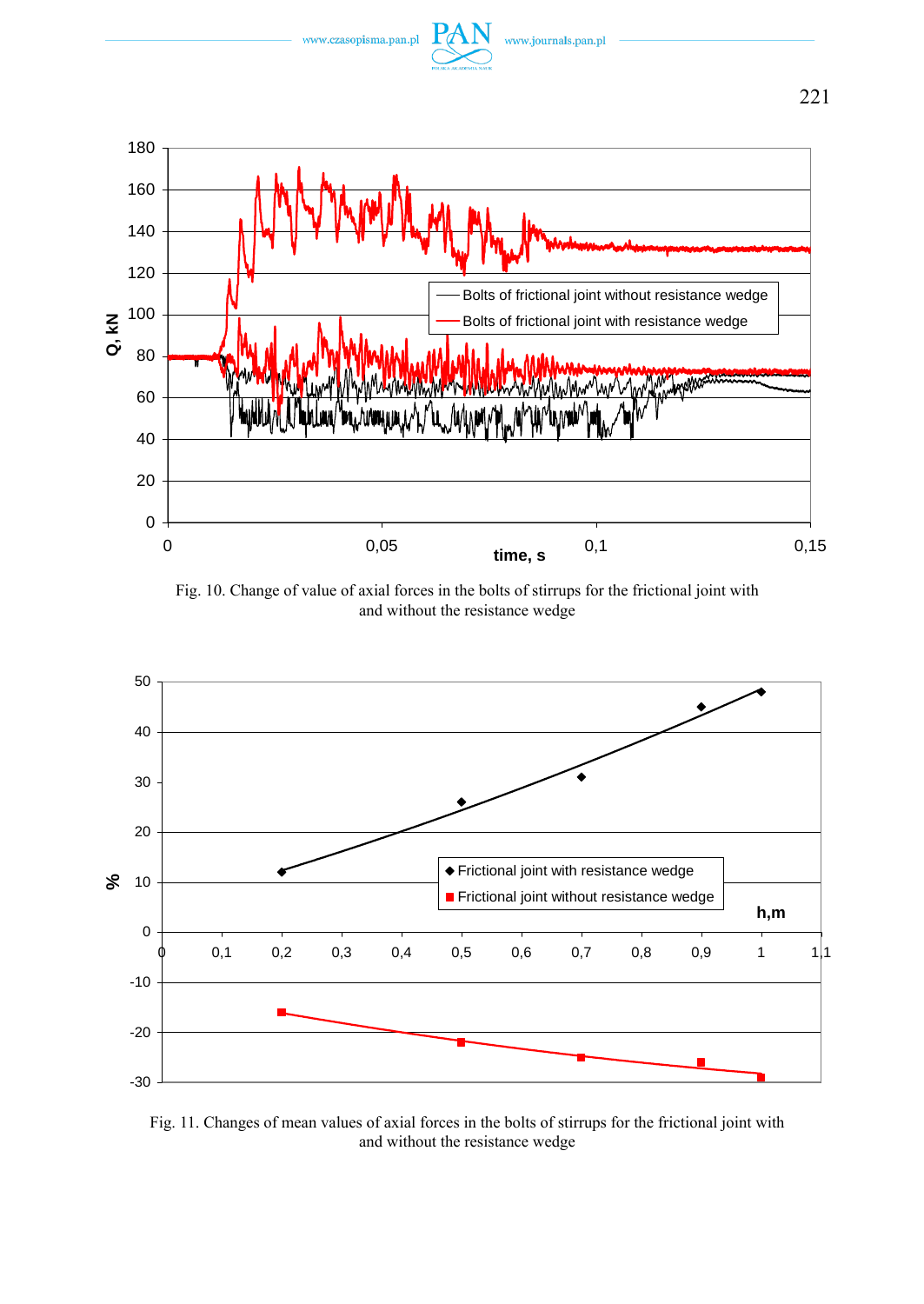

Fig. 10. Change of value of axial forces in the bolts of stirrups for the frictional joint with and without the resistance wedge



Fig. 11. Changes of mean values of axial forces in the bolts of stirrups for the frictional joint with and without the resistance wedge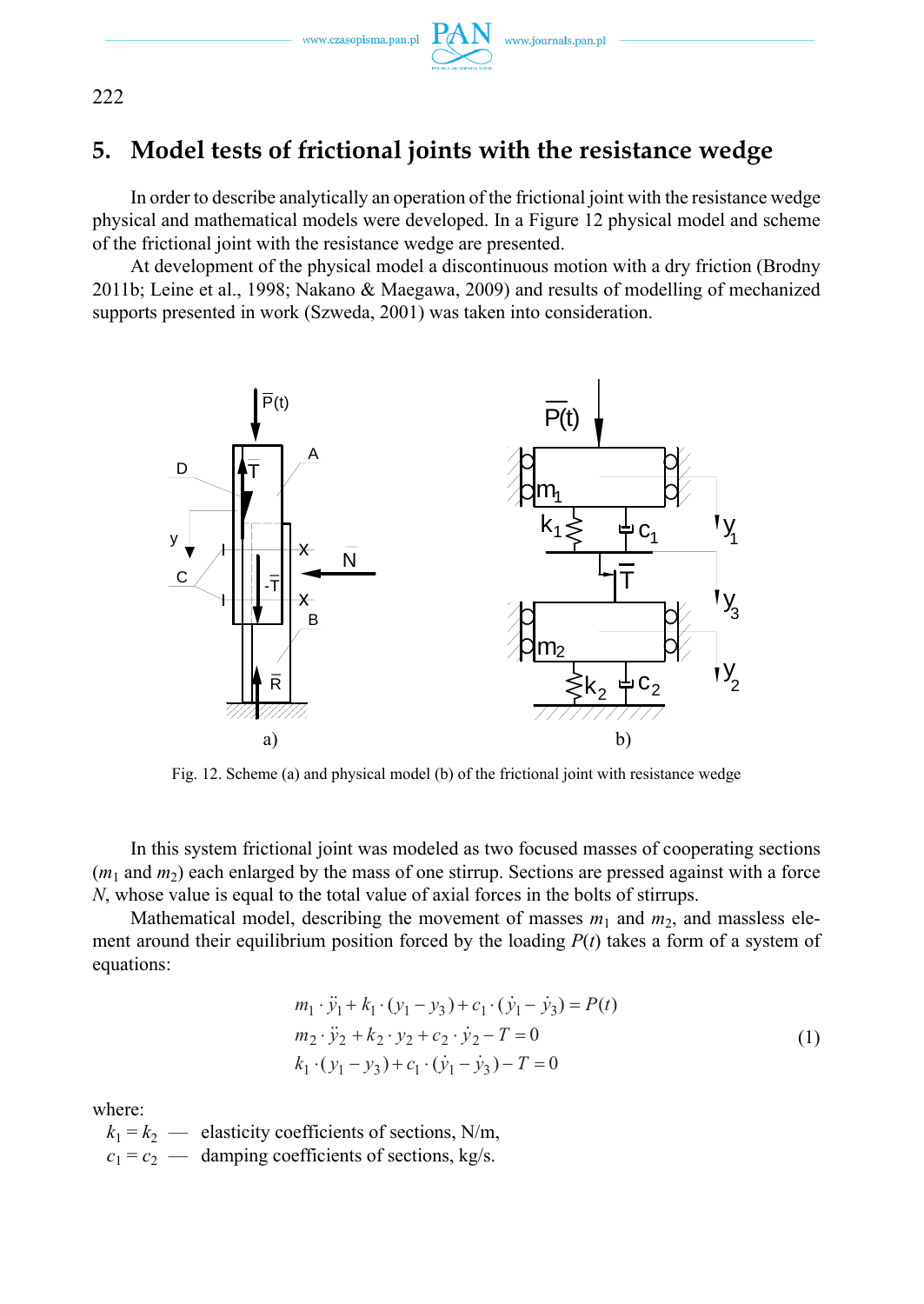www.czasopisma.pan.pl



# **5. Model tests of frictional joints with the resistance wedge**

In order to describe analytically an operation of the frictional joint with the resistance wedge physical and mathematical models were developed. In a Figure 12 physical model and scheme of the frictional joint with the resistance wedge are presented.

At development of the physical model a discontinuous motion with a dry friction (Brodny 2011b; Leine et al., 1998; Nakano & Maegawa, 2009) and results of modelling of mechanized supports presented in work (Szweda, 2001) was taken into consideration.



Fig. 12. Scheme (a) and physical model (b) of the frictional joint with resistance wedge

In this system frictional joint was modeled as two focused masses of cooperating sections  $(m_1$  and  $m_2)$  each enlarged by the mass of one stirrup. Sections are pressed against with a force *N*, whose value is equal to the total value of axial forces in the bolts of stirrups.

Mathematical model, describing the movement of masses  $m_1$  and  $m_2$ , and massless element around their equilibrium position forced by the loading  $P(t)$  takes a form of a system of equations:

$$
m_1 \cdot \ddot{y}_1 + k_1 \cdot (y_1 - y_3) + c_1 \cdot (\dot{y}_1 - \dot{y}_3) = P(t)
$$
  
\n
$$
m_2 \cdot \ddot{y}_2 + k_2 \cdot y_2 + c_2 \cdot \dot{y}_2 - T = 0
$$
  
\n
$$
k_1 \cdot (y_1 - y_3) + c_1 \cdot (\dot{y}_1 - \dot{y}_3) - T = 0
$$
\n(1)

where:

 $k_1 = k_2$  — elasticity coefficients of sections, N/m,  $c_1 = c_2$  — damping coefficients of sections, kg/s.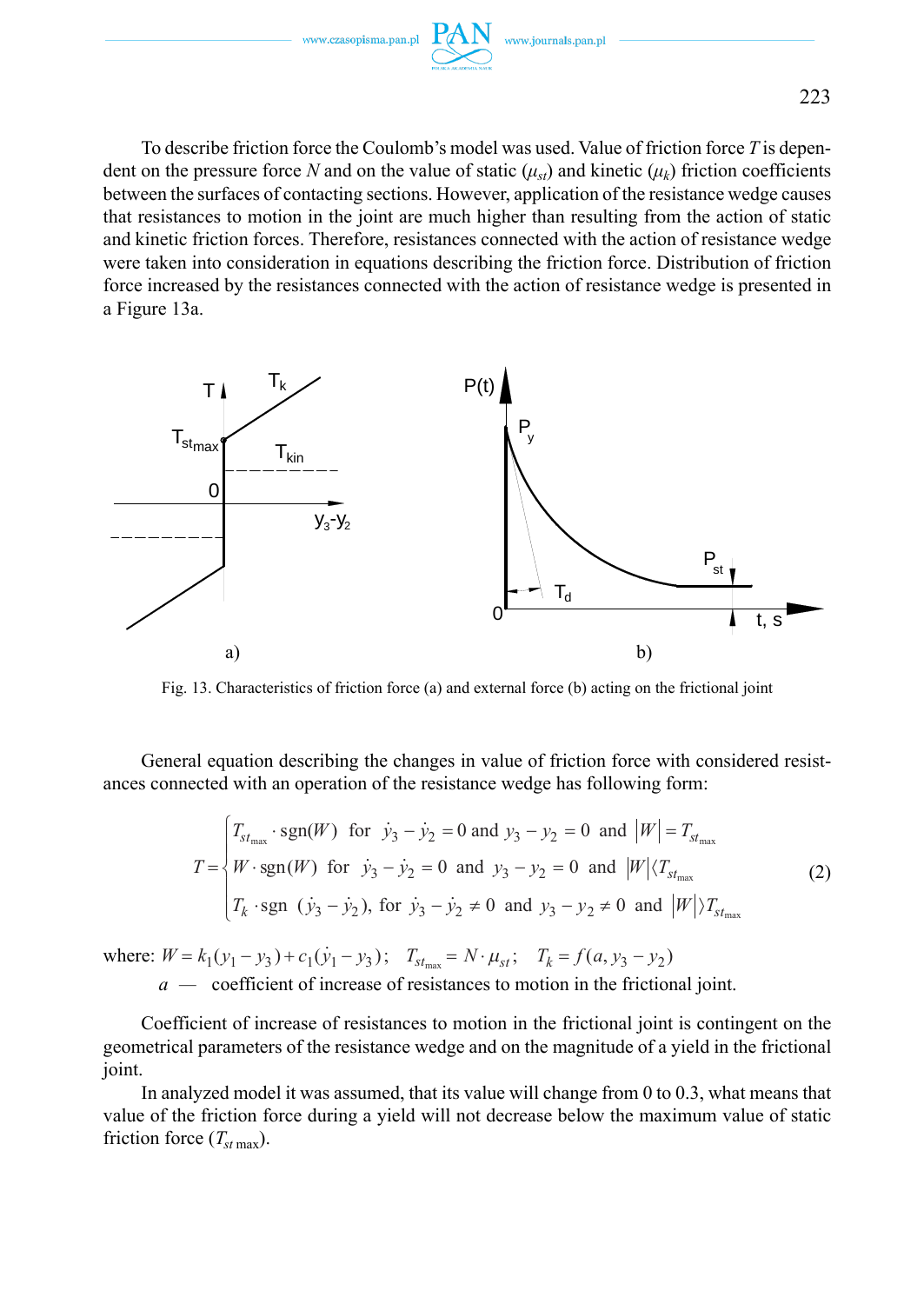

To describe friction force the Coulomb's model was used. Value of friction force *T* is dependent on the pressure force N and on the value of static  $(\mu_{\nu})$  and kinetic  $(\mu_{\nu})$  friction coefficients between the surfaces of contacting sections. However, application of the resistance wedge causes that resistances to motion in the joint are much higher than resulting from the action of static and kinetic friction forces. Therefore, resistances connected with the action of resistance wedge were taken into consideration in equations describing the friction force. Distribution of friction force increased by the resistances connected with the action of resistance wedge is presented in a Figure 13a.



Fig. 13. Characteristics of friction force (a) and external force (b) acting on the frictional joint

General equation describing the changes in value of friction force with considered resistances connected with an operation of the resistance wedge has following form:

$$
T = \begin{cases} T_{st_{\text{max}}} \cdot \text{sgn}(W) & \text{for } j_3 - j_2 = 0 \text{ and } y_3 - y_2 = 0 \text{ and } |W| = T_{st_{\text{max}}} \\ W \cdot \text{sgn}(W) & \text{for } j_3 - j_2 = 0 \text{ and } y_3 - y_2 = 0 \text{ and } |W| \langle T_{st_{\text{max}}} \\ T_k \cdot \text{sgn} (j_3 - j_2), & \text{for } j_3 - j_2 \neq 0 \text{ and } y_3 - y_2 \neq 0 \text{ and } |W| \rangle T_{st_{\text{max}}} \end{cases}
$$
(2)

where:  $W = k_1(y_1 - y_3) + c_1(\dot{y}_1 - y_3)$ ;  $T_{st_{\text{max}}} = N \cdot \mu_{st}$ ;  $T_k = f(a, y_3 - y_2)$  *a —* coefficient of increase of resistances to motion in the frictional joint.

Coefficient of increase of resistances to motion in the frictional joint is contingent on the geometrical parameters of the resistance wedge and on the magnitude of a yield in the frictional joint.

In analyzed model it was assumed, that its value will change from 0 to 0.3, what means that value of the friction force during a yield will not decrease below the maximum value of static friction force  $(T_{st\text{ max}})$ .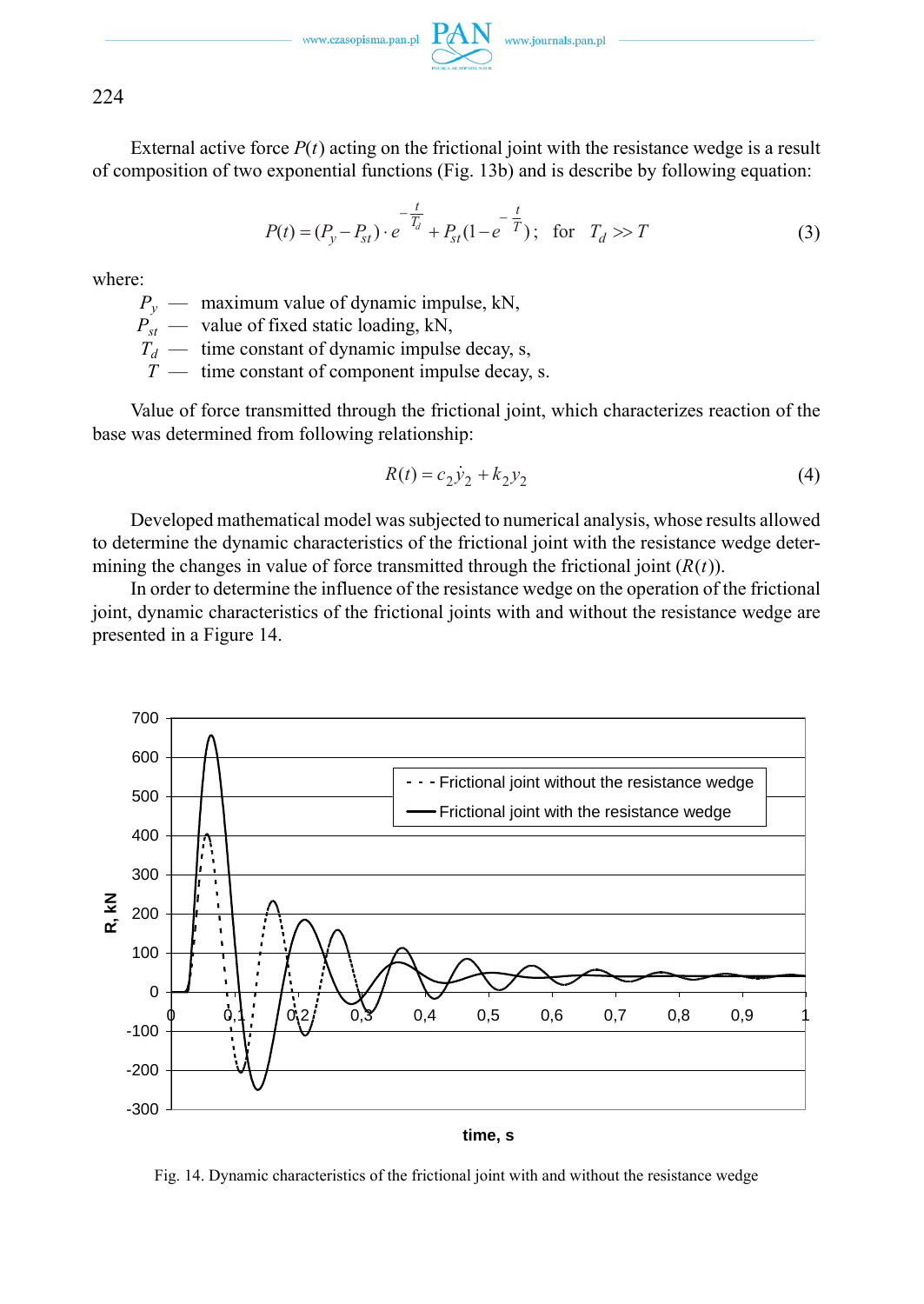www.czasopisma.pan.pl  $P$ 

224

External active force  $P(t)$  acting on the frictional joint with the resistance wedge is a result of composition of two exponential functions (Fig. 13b) and is describe by following equation:

$$
P(t) = (P_y - P_{st}) \cdot e^{-\frac{t}{T_d}} + P_{st}(1 - e^{-\frac{t}{T}}); \text{ for } T_d > T
$$
 (3)

where:

 $P_v$  — maximum value of dynamic impulse, kN,

 $P_{st}$  — value of fixed static loading, kN,

 $T_d$  — time constant of dynamic impulse decay, s,

*T* — time constant of component impulse decay, s.

Value of force transmitted through the frictional joint, which characterizes reaction of the base was determined from following relationship:

$$
R(t) = c_2 \dot{y}_2 + k_2 y_2 \tag{4}
$$

Developed mathematical model was subjected to numerical analysis, whose results allowed to determine the dynamic characteristics of the frictional joint with the resistance wedge determining the changes in value of force transmitted through the frictional joint  $(R(t))$ .

In order to determine the influence of the resistance wedge on the operation of the frictional joint, dynamic characteristics of the frictional joints with and without the resistance wedge are presented in a Figure 14.



**time, s**

Fig. 14. Dynamic characteristics of the frictional joint with and without the resistance wedge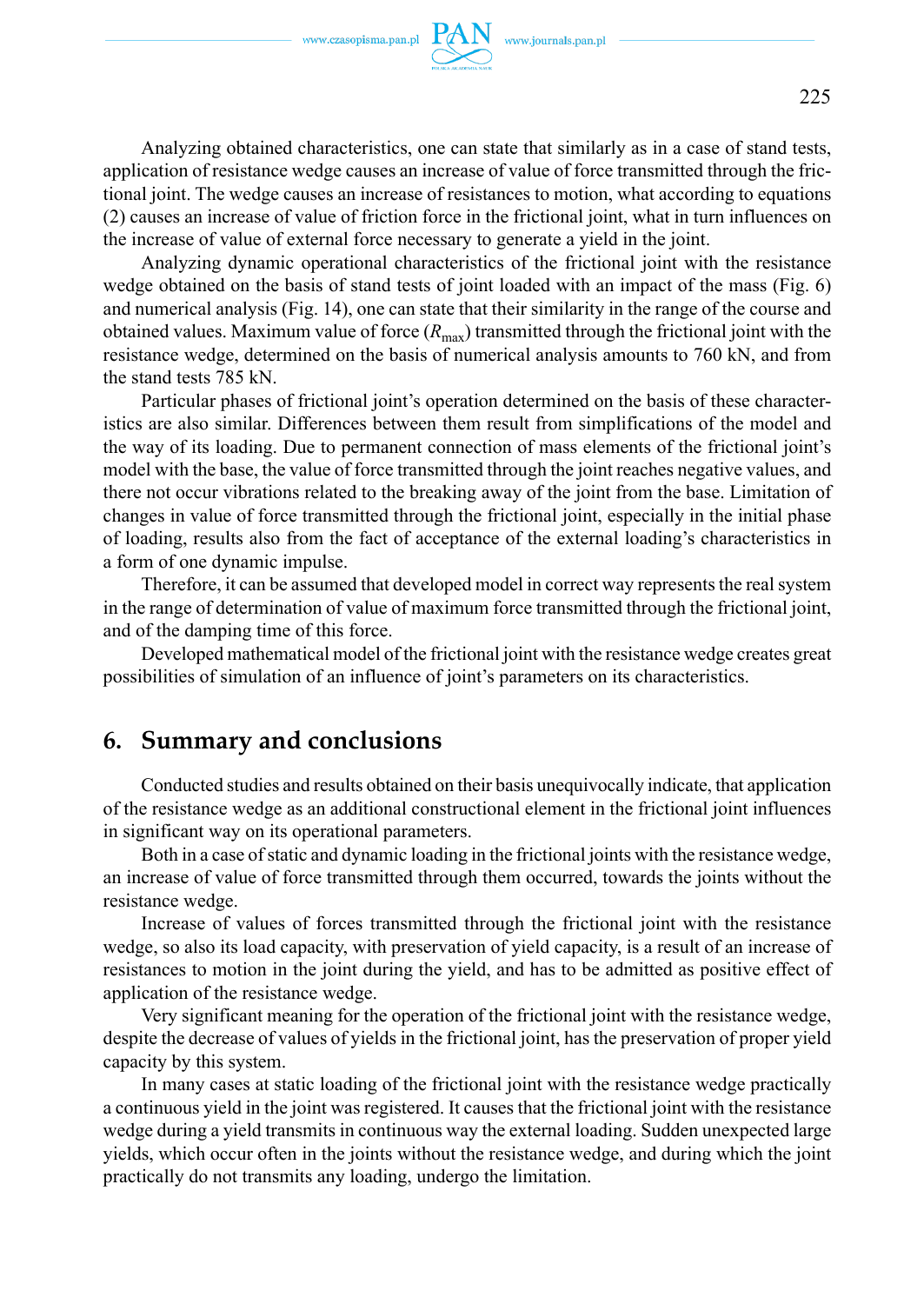

Analyzing obtained characteristics, one can state that similarly as in a case of stand tests, application of resistance wedge causes an increase of value of force transmitted through the frictional joint. The wedge causes an increase of resistances to motion, what according to equations (2) causes an increase of value of friction force in the frictional joint, what in turn influences on the increase of value of external force necessary to generate a yield in the joint.

Analyzing dynamic operational characteristics of the frictional joint with the resistance wedge obtained on the basis of stand tests of joint loaded with an impact of the mass (Fig. 6) and numerical analysis (Fig. 14), one can state that their similarity in the range of the course and obtained values. Maximum value of force  $(R_{\text{max}})$  transmitted through the frictional joint with the resistance wedge, determined on the basis of numerical analysis amounts to 760 kN, and from the stand tests 785 kN.

Particular phases of frictional joint's operation determined on the basis of these characteristics are also similar. Differences between them result from simplifications of the model and the way of its loading. Due to permanent connection of mass elements of the frictional joint's model with the base, the value of force transmitted through the joint reaches negative values, and there not occur vibrations related to the breaking away of the joint from the base. Limitation of changes in value of force transmitted through the frictional joint, especially in the initial phase of loading, results also from the fact of acceptance of the external loading's characteristics in a form of one dynamic impulse.

Therefore, it can be assumed that developed model in correct way represents the real system in the range of determination of value of maximum force transmitted through the frictional joint, and of the damping time of this force.

Developed mathematical model of the frictional joint with the resistance wedge creates great possibilities of simulation of an influence of joint's parameters on its characteristics.

## **6. Summary and conclusions**

Conducted studies and results obtained on their basis unequivocally indicate, that application of the resistance wedge as an additional constructional element in the frictional joint influences in significant way on its operational parameters.

Both in a case of static and dynamic loading in the frictional joints with the resistance wedge, an increase of value of force transmitted through them occurred, towards the joints without the resistance wedge.

Increase of values of forces transmitted through the frictional joint with the resistance wedge, so also its load capacity, with preservation of yield capacity, is a result of an increase of resistances to motion in the joint during the yield, and has to be admitted as positive effect of application of the resistance wedge.

Very significant meaning for the operation of the frictional joint with the resistance wedge, despite the decrease of values of yields in the frictional joint, has the preservation of proper yield capacity by this system.

In many cases at static loading of the frictional joint with the resistance wedge practically a continuous yield in the joint was registered. It causes that the frictional joint with the resistance wedge during a yield transmits in continuous way the external loading. Sudden unexpected large yields, which occur often in the joints without the resistance wedge, and during which the joint practically do not transmits any loading, undergo the limitation.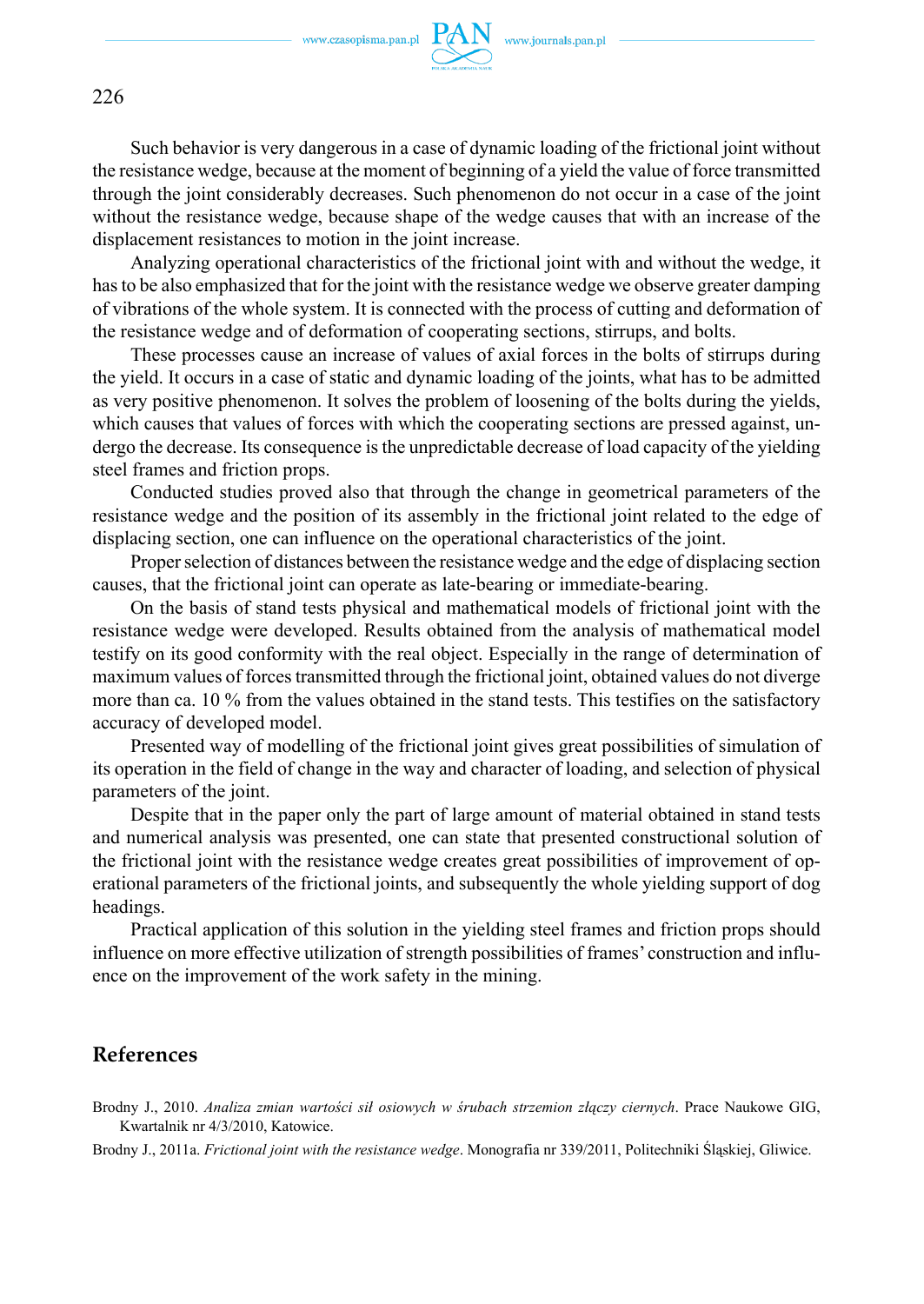

Such behavior is very dangerous in a case of dynamic loading of the frictional joint without the resistance wedge, because at the moment of beginning of a yield the value of force transmitted through the joint considerably decreases. Such phenomenon do not occur in a case of the joint without the resistance wedge, because shape of the wedge causes that with an increase of the displacement resistances to motion in the joint increase.

Analyzing operational characteristics of the frictional joint with and without the wedge, it has to be also emphasized that for the joint with the resistance wedge we observe greater damping of vibrations of the whole system. It is connected with the process of cutting and deformation of the resistance wedge and of deformation of cooperating sections, stirrups, and bolts.

These processes cause an increase of values of axial forces in the bolts of stirrups during the yield. It occurs in a case of static and dynamic loading of the joints, what has to be admitted as very positive phenomenon. It solves the problem of loosening of the bolts during the yields, which causes that values of forces with which the cooperating sections are pressed against, undergo the decrease. Its consequence is the unpredictable decrease of load capacity of the yielding steel frames and friction props.

Conducted studies proved also that through the change in geometrical parameters of the resistance wedge and the position of its assembly in the frictional joint related to the edge of displacing section, one can influence on the operational characteristics of the joint.

Proper selection of distances between the resistance wedge and the edge of displacing section causes, that the frictional joint can operate as late-bearing or immediate-bearing.

On the basis of stand tests physical and mathematical models of frictional joint with the resistance wedge were developed. Results obtained from the analysis of mathematical model testify on its good conformity with the real object. Especially in the range of determination of maximum values of forces transmitted through the frictional joint, obtained values do not diverge more than ca. 10 % from the values obtained in the stand tests. This testifies on the satisfactory accuracy of developed model.

Presented way of modelling of the frictional joint gives great possibilities of simulation of its operation in the field of change in the way and character of loading, and selection of physical parameters of the joint.

Despite that in the paper only the part of large amount of material obtained in stand tests and numerical analysis was presented, one can state that presented constructional solution of the frictional joint with the resistance wedge creates great possibilities of improvement of operational parameters of the frictional joints, and subsequently the whole yielding support of dog headings.

Practical application of this solution in the yielding steel frames and friction props should influence on more effective utilization of strength possibilities of frames' construction and influence on the improvement of the work safety in the mining.

### **References**

Brodny J., 2010. *Analiza zmian wartości sił osiowych w śrubach strzemion złączy ciernych*. Prace Naukowe GIG, Kwartalnik nr 4/3/2010, Katowice.

Brodny J., 2011a. *Frictional joint with the resistance wedge*. Monografia nr 339/2011, Politechniki Śląskiej, Gliwice.